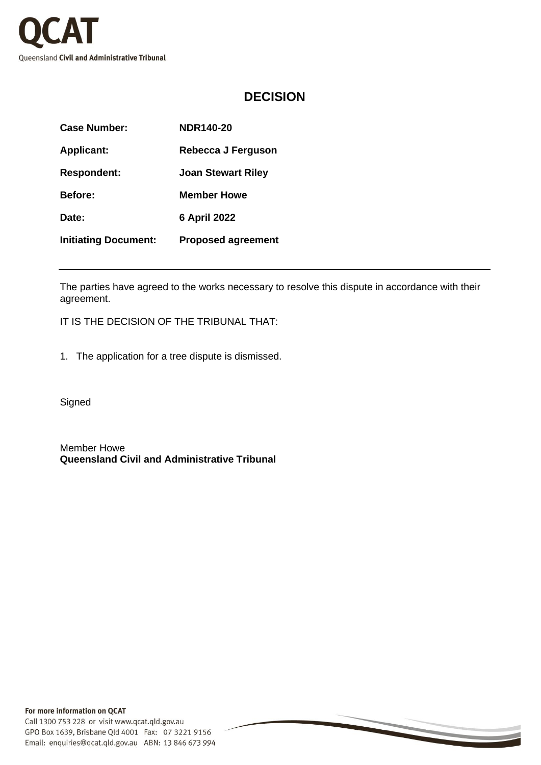

## **DECISION**

| <b>Case Number:</b>         | <b>NDR140-20</b>          |
|-----------------------------|---------------------------|
| <b>Applicant:</b>           | Rebecca J Ferguson        |
| <b>Respondent:</b>          | <b>Joan Stewart Riley</b> |
| <b>Before:</b>              | <b>Member Howe</b>        |
| Date:                       | <b>6 April 2022</b>       |
| <b>Initiating Document:</b> | <b>Proposed agreement</b> |
|                             |                           |

The parties have agreed to the works necessary to resolve this dispute in accordance with their agreement.

IT IS THE DECISION OF THE TRIBUNAL THAT:

1. The application for a tree dispute is dismissed.

**Signed** 

Member Howe **Queensland Civil and Administrative Tribunal**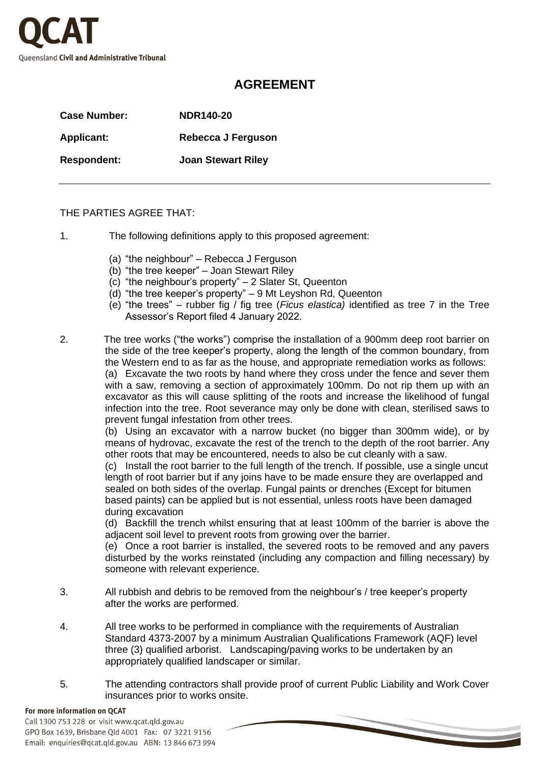

## **AGREEMENT**

| <b>Case Number:</b> | <b>NDR140-20</b>          |
|---------------------|---------------------------|
| <b>Applicant:</b>   | Rebecca J Ferguson        |
| <b>Respondent:</b>  | <b>Joan Stewart Riley</b> |

## THE PARTIES AGREE THAT:

1. The following definitions apply to this proposed agreement:

- (a) "the neighbour" Rebecca J Ferguson
- (b) "the tree keeper" Joan Stewart Riley
- (c) "the neighbour's property" 2 Slater St, Queenton
- (d) "the tree keeper's property" 9 Mt Leyshon Rd, Queenton
- (e) "the trees" rubber fig / fig tree (*Ficus elastica)* identified as tree 7 in the Tree Assessor's Report filed 4 January 2022.
- 2. The tree works ("the works") comprise the installation of a 900mm deep root barrier on the side of the tree keeper's property, along the length of the common boundary, from the Western end to as far as the house, and appropriate remediation works as follows: (a) Excavate the two roots by hand where they cross under the fence and sever them with a saw, removing a section of approximately 100mm. Do not rip them up with an excavator as this will cause splitting of the roots and increase the likelihood of fungal infection into the tree. Root severance may only be done with clean, sterilised saws to prevent fungal infestation from other trees.

(b) Using an excavator with a narrow bucket (no bigger than 300mm wide), or by means of hydrovac, excavate the rest of the trench to the depth of the root barrier. Any other roots that may be encountered, needs to also be cut cleanly with a saw.

(c) Install the root barrier to the full length of the trench. If possible, use a single uncut length of root barrier but if any joins have to be made ensure they are overlapped and sealed on both sides of the overlap. Fungal paints or drenches (Except for bitumen based paints) can be applied but is not essential, unless roots have been damaged during excavation

(d) Backfill the trench whilst ensuring that at least 100mm of the barrier is above the adjacent soil level to prevent roots from growing over the barrier.

(e) Once a root barrier is installed, the severed roots to be removed and any pavers disturbed by the works reinstated (including any compaction and filling necessary) by someone with relevant experience.

- 3. All rubbish and debris to be removed from the neighbour's / tree keeper's property after the works are performed.
- 4. All tree works to be performed in compliance with the requirements of Australian Standard 4373-2007 by a minimum Australian Qualifications Framework (AQF) level three (3) qualified arborist. Landscaping/paving works to be undertaken by an appropriately qualified landscaper or similar.
- 5. The attending contractors shall provide proof of current Public Liability and Work Cover insurances prior to works onsite.

## For more information on QCAT